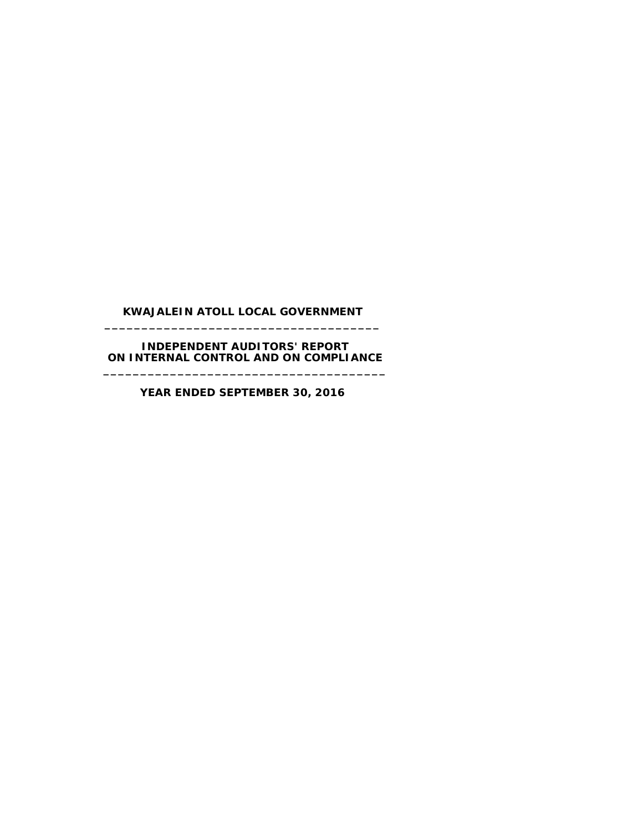#### **KWAJALEIN ATOLL LOCAL GOVERNMENT \_\_\_\_\_\_\_\_\_\_\_\_\_\_\_\_\_\_\_\_\_\_\_\_\_\_\_\_\_\_\_\_\_\_\_\_\_**

#### **INDEPENDENT AUDITORS' REPORT ON INTERNAL CONTROL AND ON COMPLIANCE \_\_\_\_\_\_\_\_\_\_\_\_\_\_\_\_\_\_\_\_\_\_\_\_\_\_\_\_\_\_\_\_\_\_\_\_\_\_**

**YEAR ENDED SEPTEMBER 30, 2016**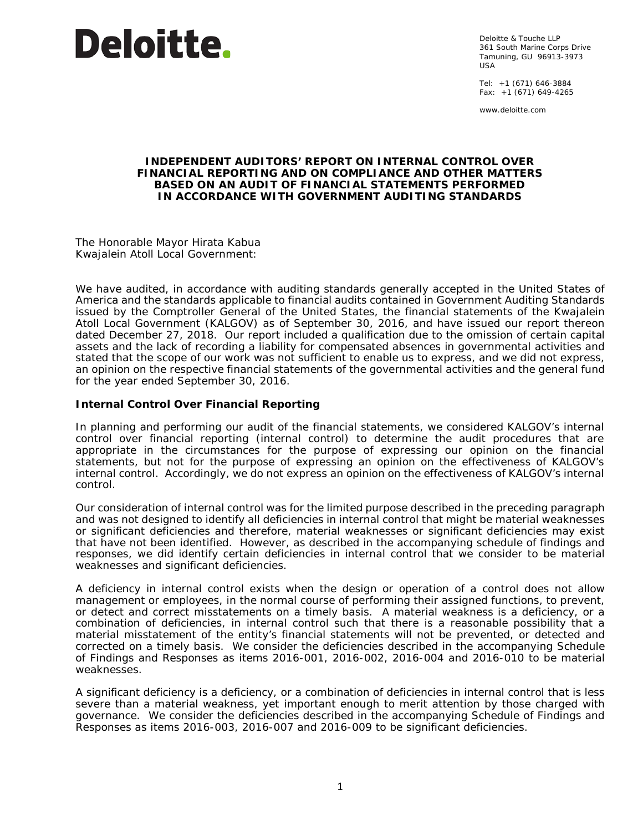

Deloitte & Touche LLP 361 South Marine Corps Drive Tamuning, GU 96913-3973 USA

Tel: +1 (671) 646-3884 Fax: +1 (671) 649-4265

www.deloitte.com

#### **INDEPENDENT AUDITORS' REPORT ON INTERNAL CONTROL OVER FINANCIAL REPORTING AND ON COMPLIANCE AND OTHER MATTERS BASED ON AN AUDIT OF FINANCIAL STATEMENTS PERFORMED IN ACCORDANCE WITH** *GOVERNMENT AUDITING STANDARDS*

The Honorable Mayor Hirata Kabua Kwajalein Atoll Local Government:

We have audited, in accordance with auditing standards generally accepted in the United States of America and the standards applicable to financial audits contained in *Government Auditing Standards* issued by the Comptroller General of the United States, the financial statements of the Kwajalein Atoll Local Government (KALGOV) as of September 30, 2016, and have issued our report thereon dated December 27, 2018. Our report included a qualification due to the omission of certain capital assets and the lack of recording a liability for compensated absences in governmental activities and stated that the scope of our work was not sufficient to enable us to express, and we did not express, an opinion on the respective financial statements of the governmental activities and the general fund for the year ended September 30, 2016.

### **Internal Control Over Financial Reporting**

In planning and performing our audit of the financial statements, we considered KALGOV's internal control over financial reporting (internal control) to determine the audit procedures that are appropriate in the circumstances for the purpose of expressing our opinion on the financial statements, but not for the purpose of expressing an opinion on the effectiveness of KALGOV's internal control. Accordingly, we do not express an opinion on the effectiveness of KALGOV's internal control.

Our consideration of internal control was for the limited purpose described in the preceding paragraph and was not designed to identify all deficiencies in internal control that might be material weaknesses or significant deficiencies and therefore, material weaknesses or significant deficiencies may exist that have not been identified. However, as described in the accompanying schedule of findings and responses, we did identify certain deficiencies in internal control that we consider to be material weaknesses and significant deficiencies.

A *deficiency in internal control* exists when the design or operation of a control does not allow management or employees, in the normal course of performing their assigned functions, to prevent, or detect and correct misstatements on a timely basis. A *material weakness* is a deficiency, or a combination of deficiencies, in internal control such that there is a reasonable possibility that a material misstatement of the entity's financial statements will not be prevented, or detected and corrected on a timely basis. We consider the deficiencies described in the accompanying Schedule of Findings and Responses as items 2016-001, 2016-002, 2016-004 and 2016-010 to be material weaknesses.

A *significant deficiency* is a deficiency, or a combination of deficiencies in internal control that is less severe than a material weakness, yet important enough to merit attention by those charged with governance. We consider the deficiencies described in the accompanying Schedule of Findings and Responses as items 2016-003, 2016-007 and 2016-009 to be significant deficiencies.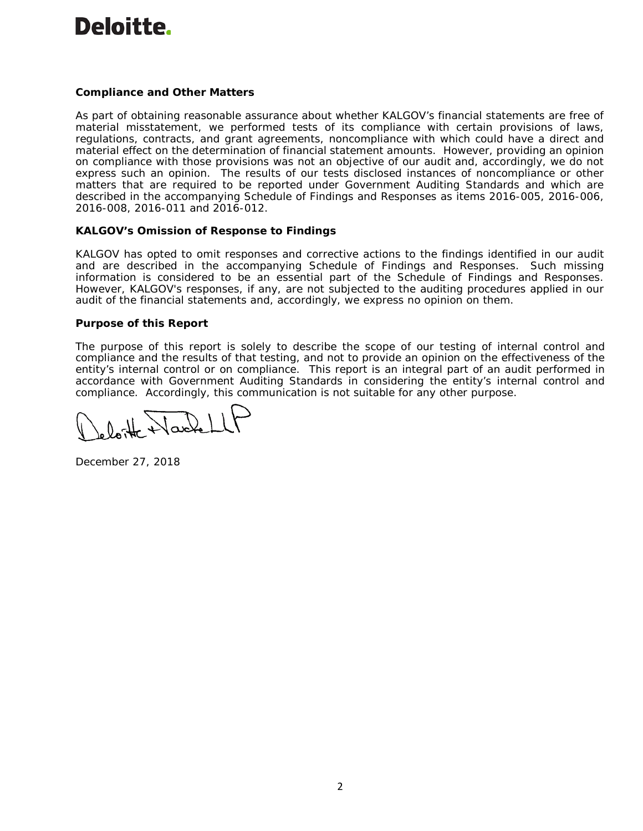

## **Compliance and Other Matters**

As part of obtaining reasonable assurance about whether KALGOV's financial statements are free of material misstatement, we performed tests of its compliance with certain provisions of laws, regulations, contracts, and grant agreements, noncompliance with which could have a direct and material effect on the determination of financial statement amounts. However, providing an opinion on compliance with those provisions was not an objective of our audit and, accordingly, we do not express such an opinion. The results of our tests disclosed instances of noncompliance or other matters that are required to be reported under *Government Auditing Standards* and which are described in the accompanying Schedule of Findings and Responses as items 2016-005, 2016-006, 2016-008, 2016-011 and 2016-012.

#### **KALGOV's Omission of Response to Findings**

KALGOV has opted to omit responses and corrective actions to the findings identified in our audit and are described in the accompanying Schedule of Findings and Responses. Such missing information is considered to be an essential part of the Schedule of Findings and Responses. However, KALGOV's responses, if any, are not subjected to the auditing procedures applied in our audit of the financial statements and, accordingly, we express no opinion on them.

#### **Purpose of this Report**

The purpose of this report is solely to describe the scope of our testing of internal control and compliance and the results of that testing, and not to provide an opinion on the effectiveness of the entity's internal control or on compliance. This report is an integral part of an audit performed in accordance with *Government Auditing Standards* in considering the entity's internal control and compliance. Accordingly, this communication is not suitable for any other purpose.

December 27, 2018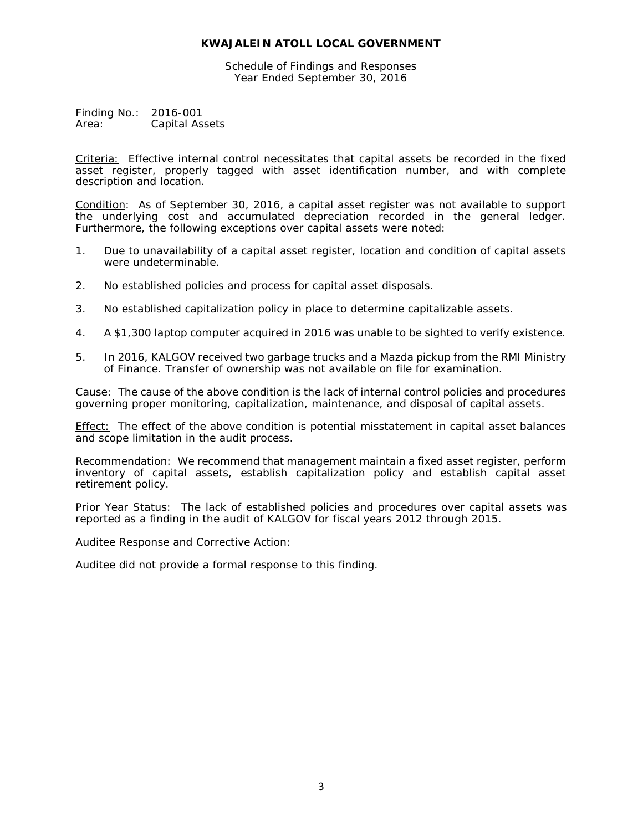Schedule of Findings and Responses Year Ended September 30, 2016

Finding No.: 2016-001 Area: Capital Assets

Criteria: Effective internal control necessitates that capital assets be recorded in the fixed asset register, properly tagged with asset identification number, and with complete description and location.

Condition: As of September 30, 2016, a capital asset register was not available to support the underlying cost and accumulated depreciation recorded in the general ledger. Furthermore, the following exceptions over capital assets were noted:

- 1. Due to unavailability of a capital asset register, location and condition of capital assets were undeterminable.
- 2. No established policies and process for capital asset disposals.
- 3. No established capitalization policy in place to determine capitalizable assets.
- 4. A \$1,300 laptop computer acquired in 2016 was unable to be sighted to verify existence.
- 5. In 2016, KALGOV received two garbage trucks and a Mazda pickup from the RMI Ministry of Finance. Transfer of ownership was not available on file for examination.

Cause: The cause of the above condition is the lack of internal control policies and procedures governing proper monitoring, capitalization, maintenance, and disposal of capital assets.

Effect: The effect of the above condition is potential misstatement in capital asset balances and scope limitation in the audit process.

Recommendation: We recommend that management maintain a fixed asset register, perform inventory of capital assets, establish capitalization policy and establish capital asset retirement policy.

Prior Year Status: The lack of established policies and procedures over capital assets was reported as a finding in the audit of KALGOV for fiscal years 2012 through 2015.

#### Auditee Response and Corrective Action: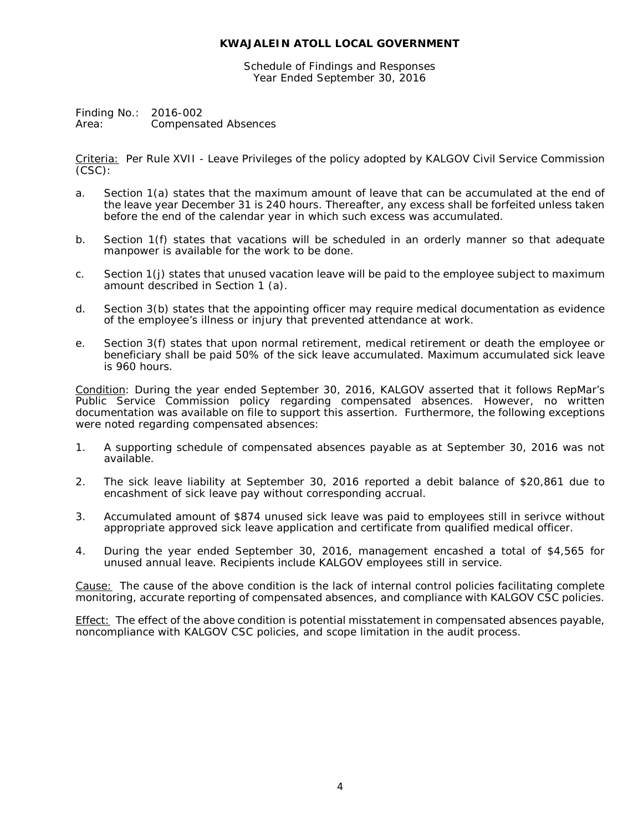Schedule of Findings and Responses Year Ended September 30, 2016

Finding No.: 2016-002 Area: Compensated Absences

Criteria: Per Rule XVII - *Leave Privileges* of the policy adopted by KALGOV Civil Service Commission (CSC):

- a. Section 1(a) states that the maximum amount of leave that can be accumulated at the end of the leave year December 31 is 240 hours. Thereafter, any excess shall be forfeited unless taken before the end of the calendar year in which such excess was accumulated.
- b. Section 1(f) states that vacations will be scheduled in an orderly manner so that adequate manpower is available for the work to be done.
- c. Section 1(j) states that unused vacation leave will be paid to the employee subject to maximum amount described in Section 1 (a).
- d. Section 3(b) states that the appointing officer may require medical documentation as evidence of the employee's illness or injury that prevented attendance at work.
- e. Section 3(f) states that upon normal retirement, medical retirement or death the employee or beneficiary shall be paid 50% of the sick leave accumulated. Maximum accumulated sick leave is 960 hours.

Condition: During the year ended September 30, 2016, KALGOV asserted that it follows RepMar's Public Service Commission policy regarding compensated absences. However, no written documentation was available on file to support this assertion. Furthermore, the following exceptions were noted regarding compensated absences:

- 1. A supporting schedule of compensated absences payable as at September 30, 2016 was not available.
- 2. The sick leave liability at September 30, 2016 reported a debit balance of \$20,861 due to encashment of sick leave pay without corresponding accrual.
- 3. Accumulated amount of \$874 unused sick leave was paid to employees still in serivce without appropriate approved sick leave application and certificate from qualified medical officer.
- 4. During the year ended September 30, 2016, management encashed a total of \$4,565 for unused annual leave. Recipients include KALGOV employees still in service.

Cause: The cause of the above condition is the lack of internal control policies facilitating complete monitoring, accurate reporting of compensated absences, and compliance with KALGOV CSC policies.

Effect: The effect of the above condition is potential misstatement in compensated absences payable, noncompliance with KALGOV CSC policies, and scope limitation in the audit process.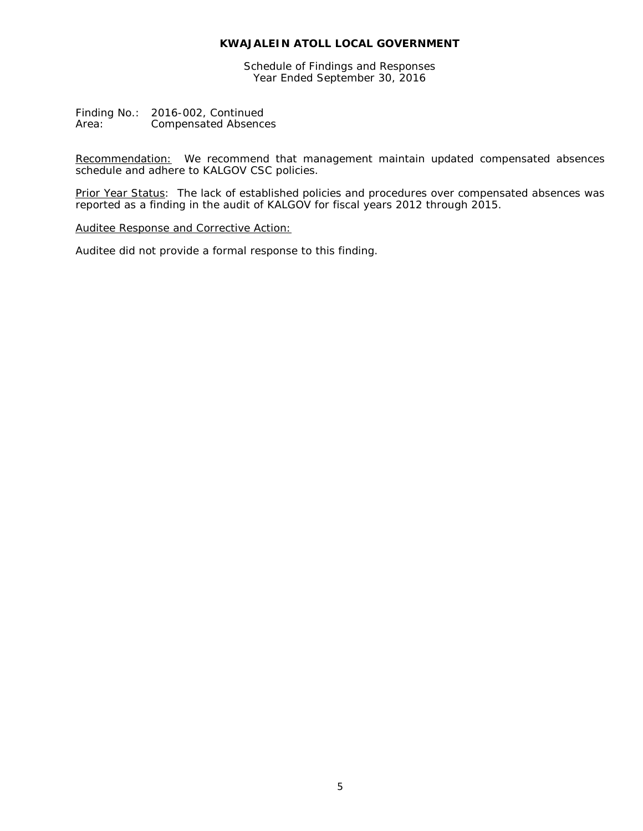Schedule of Findings and Responses Year Ended September 30, 2016

Finding No.: 2016-002, Continued<br>Area: Compensated Absence Compensated Absences

Recommendation: We recommend that management maintain updated compensated absences schedule and adhere to KALGOV CSC policies.

Prior Year Status: The lack of established policies and procedures over compensated absences was reported as a finding in the audit of KALGOV for fiscal years 2012 through 2015.

Auditee Response and Corrective Action: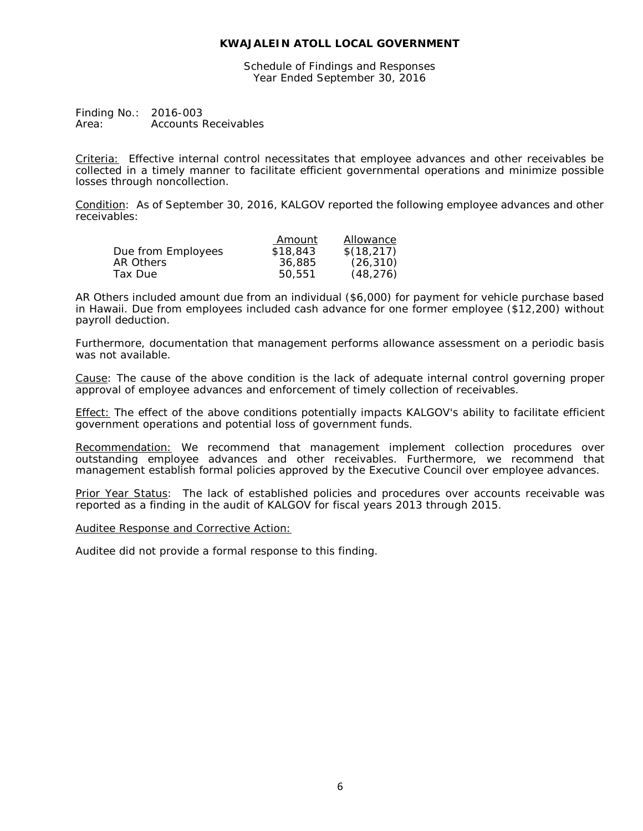Schedule of Findings and Responses Year Ended September 30, 2016

Finding No.: 2016-003<br>Area: Accounts I **Accounts Receivables** 

Criteria: Effective internal control necessitates that employee advances and other receivables be collected in a timely manner to facilitate efficient governmental operations and minimize possible losses through noncollection.

Condition: As of September 30, 2016, KALGOV reported the following employee advances and other receivables:

|                    | Amount   | Allowance  |
|--------------------|----------|------------|
| Due from Employees | \$18,843 | \$(18,217) |
| AR Others          | 36,885   | (26, 310)  |
| Tax Due            | 50.551   | (48, 276)  |

AR Others included amount due from an individual (\$6,000) for payment for vehicle purchase based in Hawaii. Due from employees included cash advance for one former employee (\$12,200) without payroll deduction.

Furthermore, documentation that management performs allowance assessment on a periodic basis was not available.

Cause: The cause of the above condition is the lack of adequate internal control governing proper approval of employee advances and enforcement of timely collection of receivables.

Effect: The effect of the above conditions potentially impacts KALGOV's ability to facilitate efficient government operations and potential loss of government funds.

Recommendation: We recommend that management implement collection procedures over outstanding employee advances and other receivables. Furthermore, we recommend that management establish formal policies approved by the Executive Council over employee advances.

Prior Year Status: The lack of established policies and procedures over accounts receivable was reported as a finding in the audit of KALGOV for fiscal years 2013 through 2015.

#### Auditee Response and Corrective Action: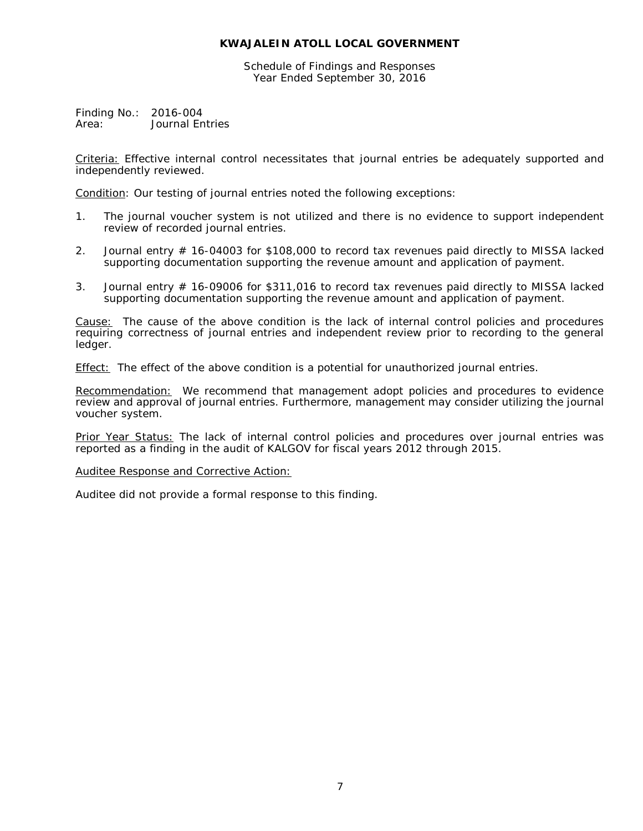Schedule of Findings and Responses Year Ended September 30, 2016

Finding No.: 2016-004<br>Area: Journal Er **Journal Entries** 

Criteria: Effective internal control necessitates that journal entries be adequately supported and independently reviewed.

Condition: Our testing of journal entries noted the following exceptions:

- 1. The journal voucher system is not utilized and there is no evidence to support independent review of recorded journal entries.
- 2. Journal entry # 16-04003 for \$108,000 to record tax revenues paid directly to MISSA lacked supporting documentation supporting the revenue amount and application of payment.
- 3. Journal entry # 16-09006 for \$311,016 to record tax revenues paid directly to MISSA lacked supporting documentation supporting the revenue amount and application of payment.

Cause: The cause of the above condition is the lack of internal control policies and procedures requiring correctness of journal entries and independent review prior to recording to the general ledger.

Effect: The effect of the above condition is a potential for unauthorized journal entries.

Recommendation: We recommend that management adopt policies and procedures to evidence review and approval of journal entries. Furthermore, management may consider utilizing the journal voucher system.

Prior Year Status: The lack of internal control policies and procedures over journal entries was reported as a finding in the audit of KALGOV for fiscal years 2012 through 2015.

#### Auditee Response and Corrective Action: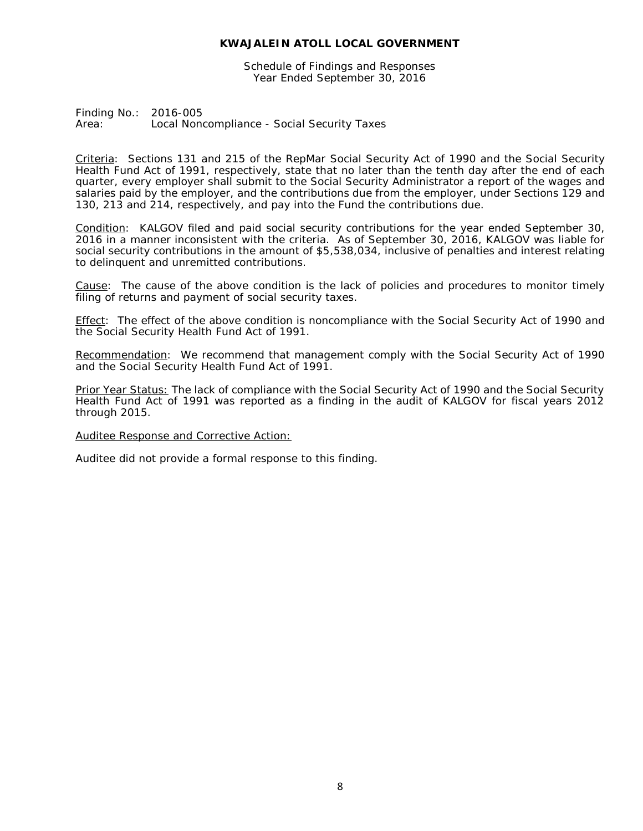Schedule of Findings and Responses Year Ended September 30, 2016

Finding No.: 2016-005 Area: Local Noncompliance - Social Security Taxes

Criteria: Sections 131 and 215 of the RepMar Social Security Act of 1990 and the Social Security Health Fund Act of 1991, respectively, state that no later than the tenth day after the end of each quarter, every employer shall submit to the Social Security Administrator a report of the wages and salaries paid by the employer, and the contributions due from the employer, under Sections 129 and 130, 213 and 214, respectively, and pay into the Fund the contributions due.

Condition: KALGOV filed and paid social security contributions for the year ended September 30, 2016 in a manner inconsistent with the criteria. As of September 30, 2016, KALGOV was liable for social security contributions in the amount of \$5,538,034, inclusive of penalties and interest relating to delinquent and unremitted contributions.

Cause: The cause of the above condition is the lack of policies and procedures to monitor timely filing of returns and payment of social security taxes.

Effect: The effect of the above condition is noncompliance with the Social Security Act of 1990 and the Social Security Health Fund Act of 1991.

Recommendation: We recommend that management comply with the Social Security Act of 1990 and the Social Security Health Fund Act of 1991.

Prior Year Status: The lack of compliance with the Social Security Act of 1990 and the Social Security Health Fund Act of 1991 was reported as a finding in the audit of KALGOV for fiscal years 2012 through 2015.

Auditee Response and Corrective Action: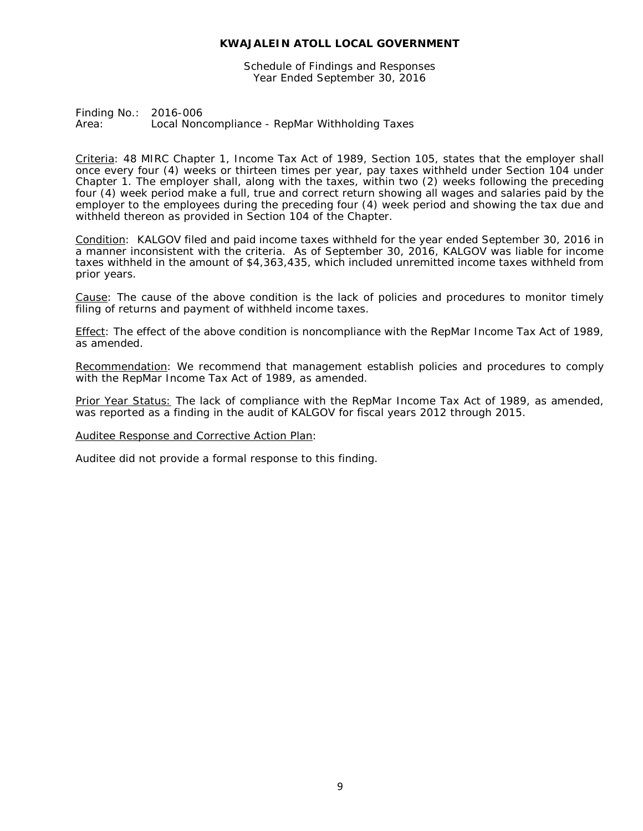Schedule of Findings and Responses Year Ended September 30, 2016

Finding No.: 2016-006 Area: Local Noncompliance - RepMar Withholding Taxes

Criteria: 48 MIRC Chapter 1, Income Tax Act of 1989, Section 105, states that the employer shall once every four (4) weeks or thirteen times per year, pay taxes withheld under Section 104 under Chapter 1. The employer shall, along with the taxes, within two (2) weeks following the preceding four (4) week period make a full, true and correct return showing all wages and salaries paid by the employer to the employees during the preceding four (4) week period and showing the tax due and withheld thereon as provided in Section 104 of the Chapter.

Condition: KALGOV filed and paid income taxes withheld for the year ended September 30, 2016 in a manner inconsistent with the criteria. As of September 30, 2016, KALGOV was liable for income taxes withheld in the amount of \$4,363,435, which included unremitted income taxes withheld from prior years.

Cause: The cause of the above condition is the lack of policies and procedures to monitor timely filing of returns and payment of withheld income taxes.

Effect: The effect of the above condition is noncompliance with the RepMar Income Tax Act of 1989, as amended.

Recommendation: We recommend that management establish policies and procedures to comply with the RepMar Income Tax Act of 1989, as amended.

Prior Year Status: The lack of compliance with the RepMar Income Tax Act of 1989, as amended, was reported as a finding in the audit of KALGOV for fiscal years 2012 through 2015.

Auditee Response and Corrective Action Plan: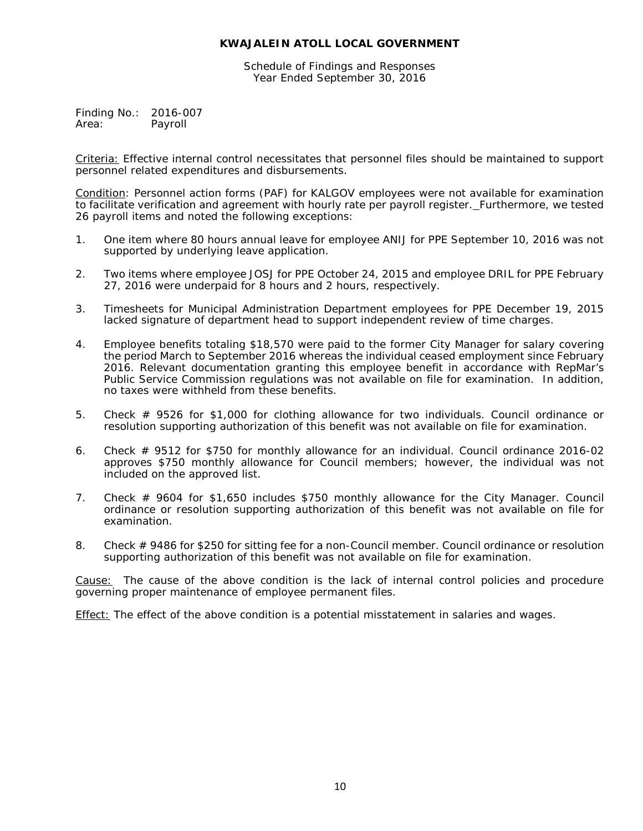Schedule of Findings and Responses Year Ended September 30, 2016

Finding No.: 2016-007<br>Area: Payroll Payroll

Criteria: Effective internal control necessitates that personnel files should be maintained to support personnel related expenditures and disbursements.

Condition: Personnel action forms (PAF) for KALGOV employees were not available for examination to facilitate verification and agreement with hourly rate per payroll register. Furthermore, we tested 26 payroll items and noted the following exceptions:

- 1. One item where 80 hours annual leave for employee ANIJ for PPE September 10, 2016 was not supported by underlying leave application.
- 2. Two items where employee JOSJ for PPE October 24, 2015 and employee DRIL for PPE February 27, 2016 were underpaid for 8 hours and 2 hours, respectively.
- 3. Timesheets for Municipal Administration Department employees for PPE December 19, 2015 lacked signature of department head to support independent review of time charges.
- 4. Employee benefits totaling \$18,570 were paid to the former City Manager for salary covering the period March to September 2016 whereas the individual ceased employment since February 2016. Relevant documentation granting this employee benefit in accordance with RepMar's Public Service Commission regulations was not available on file for examination. In addition, no taxes were withheld from these benefits.
- 5. Check # 9526 for \$1,000 for clothing allowance for two individuals. Council ordinance or resolution supporting authorization of this benefit was not available on file for examination.
- 6. Check # 9512 for \$750 for monthly allowance for an individual. Council ordinance 2016-02 approves \$750 monthly allowance for Council members; however, the individual was not included on the approved list.
- 7. Check # 9604 for \$1,650 includes \$750 monthly allowance for the City Manager. Council ordinance or resolution supporting authorization of this benefit was not available on file for examination.
- 8. Check # 9486 for \$250 for sitting fee for a non-Council member. Council ordinance or resolution supporting authorization of this benefit was not available on file for examination.

Cause: The cause of the above condition is the lack of internal control policies and procedure governing proper maintenance of employee permanent files.

Effect: The effect of the above condition is a potential misstatement in salaries and wages.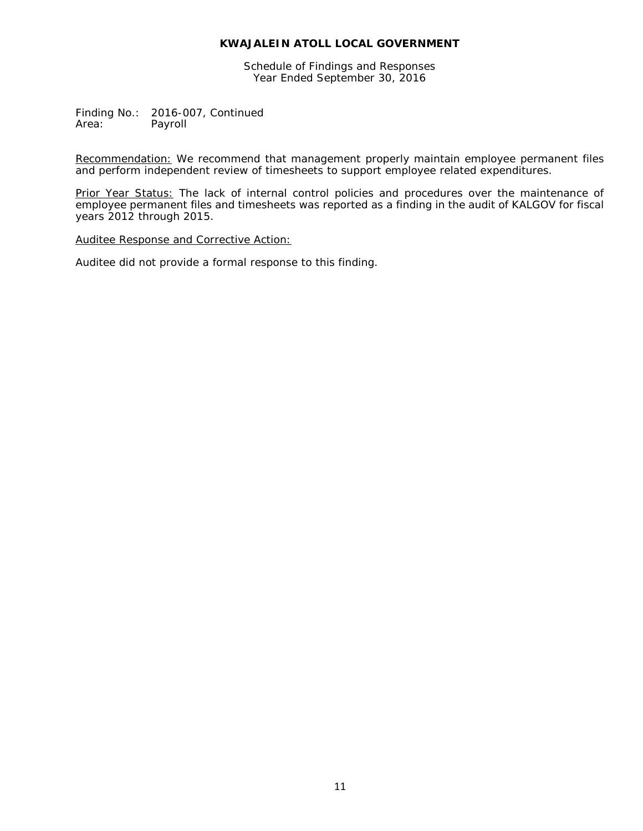Schedule of Findings and Responses Year Ended September 30, 2016

Finding No.: 2016-007, Continued<br>Area: Payroll Payroll

Recommendation: We recommend that management properly maintain employee permanent files and perform independent review of timesheets to support employee related expenditures.

Prior Year Status: The lack of internal control policies and procedures over the maintenance of employee permanent files and timesheets was reported as a finding in the audit of KALGOV for fiscal years 2012 through 2015.

Auditee Response and Corrective Action: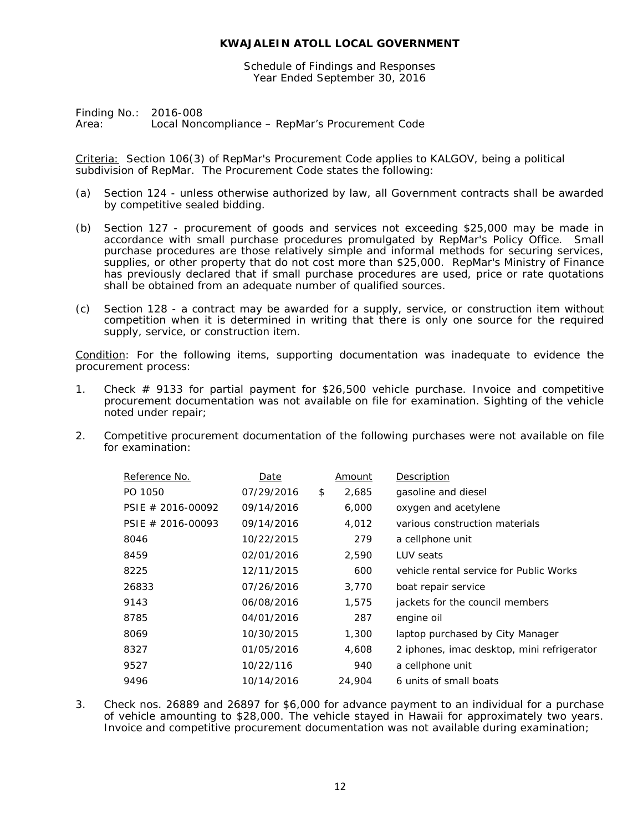Schedule of Findings and Responses Year Ended September 30, 2016

Finding No.: 2016-008 Area: Local Noncompliance – RepMar's Procurement Code

Criteria: Section 106(3) of RepMar's Procurement Code applies to KALGOV, being a political subdivision of RepMar. The Procurement Code states the following:

- (a) Section 124 unless otherwise authorized by law, all Government contracts shall be awarded by competitive sealed bidding.
- (b) Section 127 procurement of goods and services not exceeding \$25,000 may be made in accordance with small purchase procedures promulgated by RepMar's Policy Office. Small purchase procedures are those relatively simple and informal methods for securing services, supplies, or other property that do not cost more than \$25,000. RepMar's Ministry of Finance has previously declared that if small purchase procedures are used, price or rate quotations shall be obtained from an adequate number of qualified sources.
- (c) Section 128 a contract may be awarded for a supply, service, or construction item without competition when it is determined in writing that there is only one source for the required supply, service, or construction item.

Condition: For the following items, supporting documentation was inadequate to evidence the procurement process:

- 1. Check # 9133 for partial payment for \$26,500 vehicle purchase. Invoice and competitive procurement documentation was not available on file for examination. Sighting of the vehicle noted under repair;
- 2. Competitive procurement documentation of the following purchases were not available on file for examination:

| Reference No.        | Date       | Amount      | Description                                |
|----------------------|------------|-------------|--------------------------------------------|
| PO 1050              | 07/29/2016 | \$<br>2,685 | gasoline and diesel                        |
| PSIE $\#$ 2016-00092 | 09/14/2016 | 6,000       | oxygen and acetylene                       |
| PSIE $\#$ 2016-00093 | 09/14/2016 | 4,012       | various construction materials             |
| 8046                 | 10/22/2015 | 279         | a cellphone unit                           |
| 8459                 | 02/01/2016 | 2,590       | LUV seats                                  |
| 8225                 | 12/11/2015 | 600         | vehicle rental service for Public Works    |
| 26833                | 07/26/2016 | 3,770       | boat repair service                        |
| 9143                 | 06/08/2016 | 1,575       | jackets for the council members            |
| 8785                 | 04/01/2016 | 287         | engine oil                                 |
| 8069                 | 10/30/2015 | 1,300       | laptop purchased by City Manager           |
| 8327                 | 01/05/2016 | 4,608       | 2 iphones, imac desktop, mini refrigerator |
| 9527                 | 10/22/116  | 940         | a cellphone unit                           |
| 9496                 | 10/14/2016 | 24,904      | 6 units of small boats                     |

3. Check nos. 26889 and 26897 for \$6,000 for advance payment to an individual for a purchase of vehicle amounting to \$28,000. The vehicle stayed in Hawaii for approximately two years. Invoice and competitive procurement documentation was not available during examination;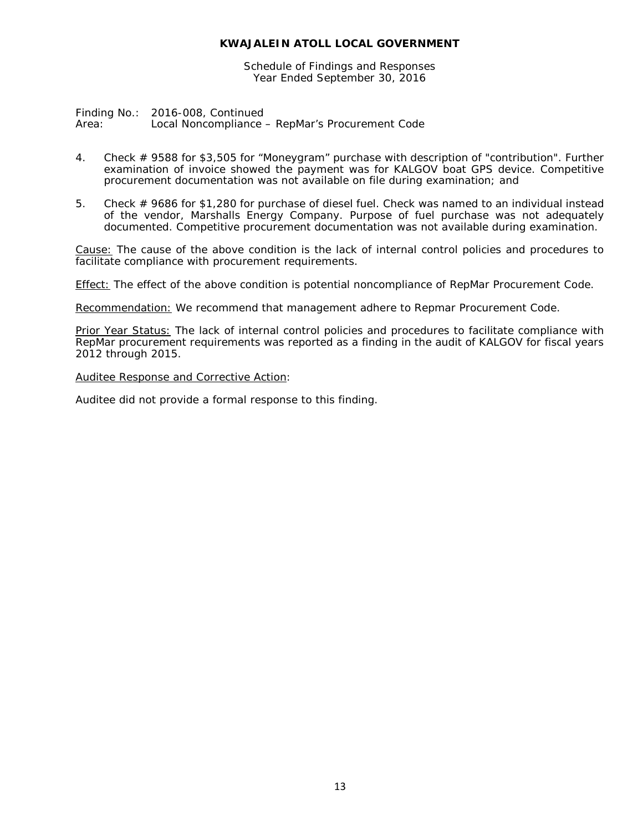Schedule of Findings and Responses Year Ended September 30, 2016

Finding No.: 2016-008, Continued Area: Local Noncompliance – RepMar's Procurement Code

- 4. Check # 9588 for \$3,505 for "Moneygram" purchase with description of "contribution". Further examination of invoice showed the payment was for KALGOV boat GPS device. Competitive procurement documentation was not available on file during examination; and
- 5. Check # 9686 for \$1,280 for purchase of diesel fuel. Check was named to an individual instead of the vendor, Marshalls Energy Company. Purpose of fuel purchase was not adequately documented. Competitive procurement documentation was not available during examination.

Cause: The cause of the above condition is the lack of internal control policies and procedures to facilitate compliance with procurement requirements.

Effect: The effect of the above condition is potential noncompliance of RepMar Procurement Code.

Recommendation: We recommend that management adhere to Repmar Procurement Code.

Prior Year Status: The lack of internal control policies and procedures to facilitate compliance with RepMar procurement requirements was reported as a finding in the audit of KALGOV for fiscal years 2012 through 2015.

Auditee Response and Corrective Action: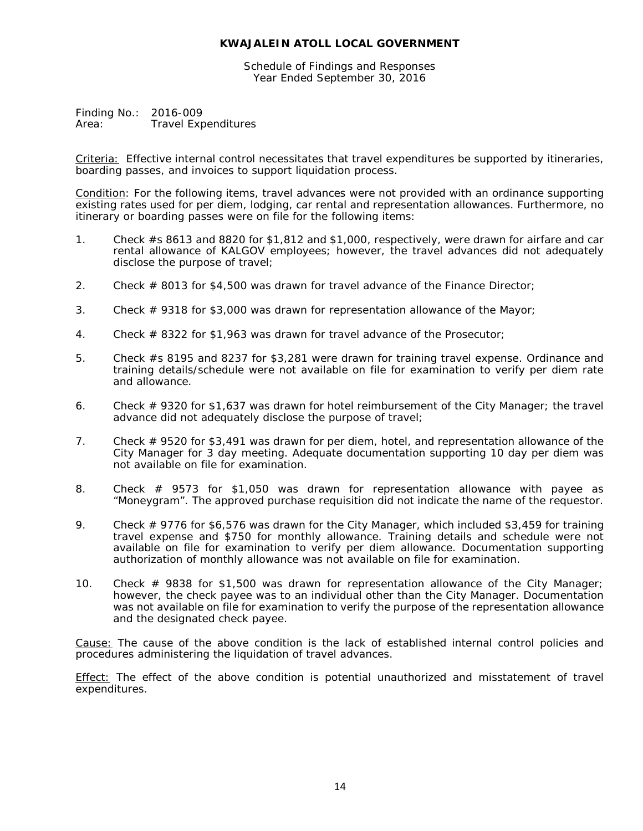Schedule of Findings and Responses Year Ended September 30, 2016

Finding No.: 2016-009<br>Area: Travel Exp **Travel Expenditures** 

Criteria: Effective internal control necessitates that travel expenditures be supported by itineraries, boarding passes, and invoices to support liquidation process.

Condition: For the following items, travel advances were not provided with an ordinance supporting existing rates used for per diem, lodging, car rental and representation allowances. Furthermore, no itinerary or boarding passes were on file for the following items:

- 1. Check #s 8613 and 8820 for \$1,812 and \$1,000, respectively, were drawn for airfare and car rental allowance of KALGOV employees; however, the travel advances did not adequately disclose the purpose of travel;
- 2. Check # 8013 for \$4,500 was drawn for travel advance of the Finance Director;
- 3. Check # 9318 for \$3,000 was drawn for representation allowance of the Mayor;
- 4. Check # 8322 for \$1,963 was drawn for travel advance of the Prosecutor;
- 5. Check #s 8195 and 8237 for \$3,281 were drawn for training travel expense. Ordinance and training details/schedule were not available on file for examination to verify per diem rate and allowance.
- 6. Check  $\#$  9320 for \$1,637 was drawn for hotel reimbursement of the City Manager; the travel advance did not adequately disclose the purpose of travel;
- 7. Check # 9520 for \$3,491 was drawn for per diem, hotel, and representation allowance of the City Manager for 3 day meeting. Adequate documentation supporting 10 day per diem was not available on file for examination.
- 8. Check # 9573 for \$1,050 was drawn for representation allowance with payee as "Moneygram". The approved purchase requisition did not indicate the name of the requestor.
- 9. Check  $#$  9776 for \$6,576 was drawn for the City Manager, which included \$3,459 for training travel expense and \$750 for monthly allowance. Training details and schedule were not available on file for examination to verify per diem allowance. Documentation supporting authorization of monthly allowance was not available on file for examination.
- 10. Check # 9838 for \$1,500 was drawn for representation allowance of the City Manager; however, the check payee was to an individual other than the City Manager. Documentation was not available on file for examination to verify the purpose of the representation allowance and the designated check payee.

Cause: The cause of the above condition is the lack of established internal control policies and procedures administering the liquidation of travel advances.

**Effect:** The effect of the above condition is potential unauthorized and misstatement of travel expenditures.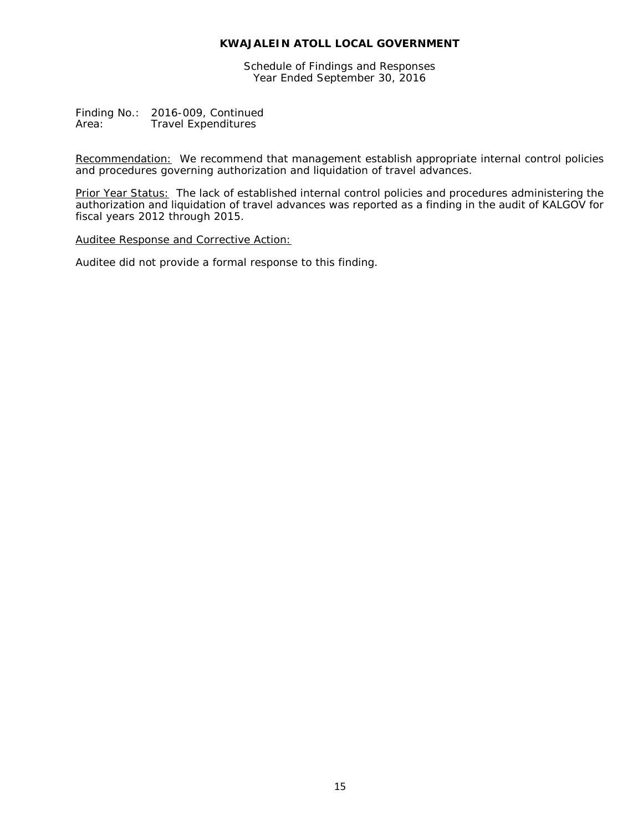Schedule of Findings and Responses Year Ended September 30, 2016

Finding No.: 2016-009, Continued<br>Area: Travel Expenditures **Travel Expenditures** 

Recommendation: We recommend that management establish appropriate internal control policies and procedures governing authorization and liquidation of travel advances.

Prior Year Status: The lack of established internal control policies and procedures administering the authorization and liquidation of travel advances was reported as a finding in the audit of KALGOV for fiscal years 2012 through 2015.

Auditee Response and Corrective Action: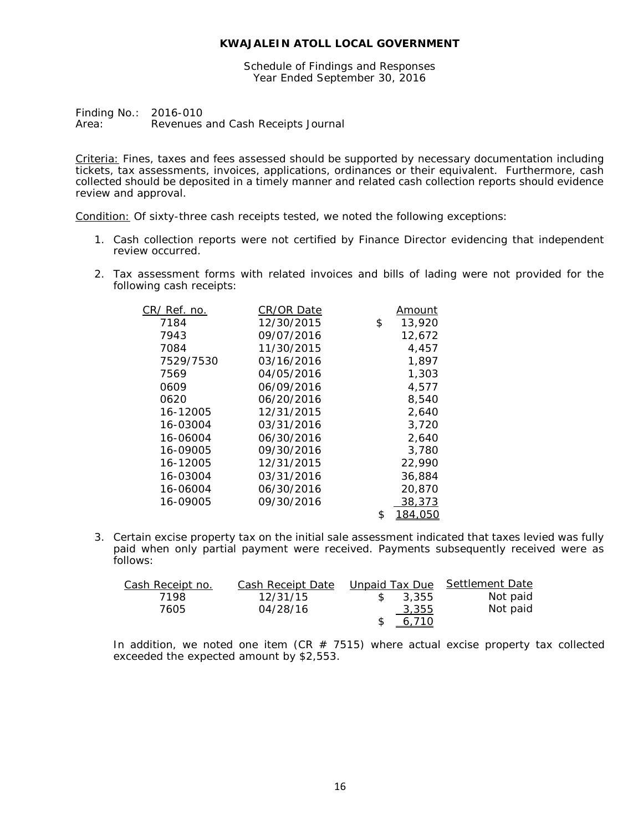Schedule of Findings and Responses Year Ended September 30, 2016

Finding No.: 2016-010<br>Area: Revenues Revenues and Cash Receipts Journal

Criteria: Fines, taxes and fees assessed should be supported by necessary documentation including tickets, tax assessments, invoices, applications, ordinances or their equivalent. Furthermore, cash collected should be deposited in a timely manner and related cash collection reports should evidence review and approval.

Condition: Of sixty-three cash receipts tested, we noted the following exceptions:

- 1. Cash collection reports were not certified by Finance Director evidencing that independent review occurred.
- 2. Tax assessment forms with related invoices and bills of lading were not provided for the following cash receipts:

| CR/ Ref. no. | CR/OR Date | Amount        |
|--------------|------------|---------------|
| 7184         | 12/30/2015 | \$<br>13,920  |
| 7943         | 09/07/2016 | 12.672        |
| 7084         | 11/30/2015 | 4.457         |
| 7529/7530    | 03/16/2016 | 1,897         |
| 7569         | 04/05/2016 | 1,303         |
| 0609         | 06/09/2016 | 4,577         |
| 0620         | 06/20/2016 | 8,540         |
| 16-12005     | 12/31/2015 | 2.640         |
| 16-03004     | 03/31/2016 | 3,720         |
| 16-06004     | 06/30/2016 | 2,640         |
| 16-09005     | 09/30/2016 | 3.780         |
| 16-12005     | 12/31/2015 | 22,990        |
| 16-03004     | 03/31/2016 | 36,884        |
| 16-06004     | 06/30/2016 | 20,870        |
| 16-09005     | 09/30/2016 | 38,373        |
|              |            | \$<br>184,050 |

3. Certain excise property tax on the initial sale assessment indicated that taxes levied was fully paid when only partial payment were received. Payments subsequently received were as follows:

| Cash Receipt no. | Cash Receipt Date |       | Unpaid Tax Due Settlement Date |
|------------------|-------------------|-------|--------------------------------|
| 7198             | 12/31/15          | 3,355 | Not paid                       |
| 7605             | 04/28/16          | 3,355 | Not paid                       |
|                  |                   | 6,710 |                                |

In addition, we noted one item (CR  $#$  7515) where actual excise property tax collected exceeded the expected amount by \$2,553.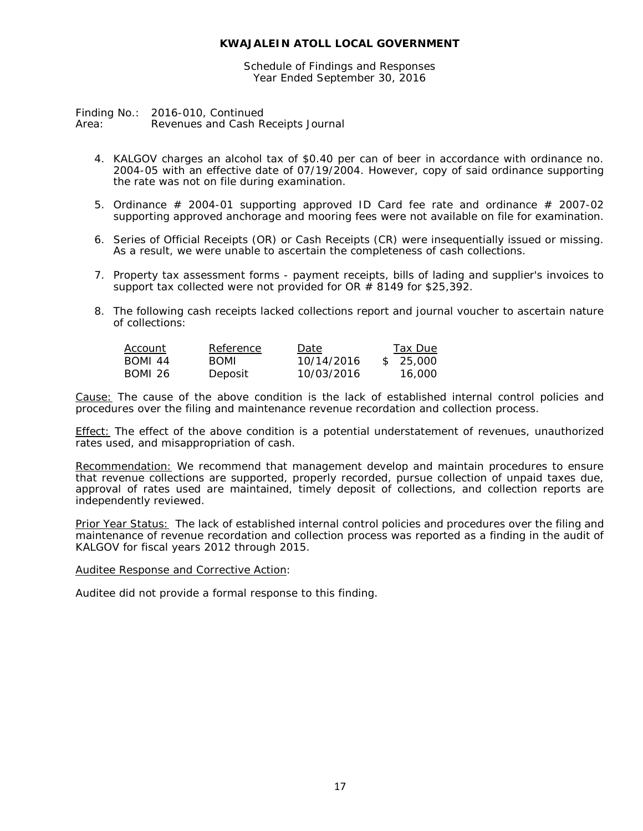Schedule of Findings and Responses Year Ended September 30, 2016

Finding No.: 2016-010, Continued Area: Revenues and Cash Receipts Journal

- 4. KALGOV charges an alcohol tax of \$0.40 per can of beer in accordance with ordinance no. 2004-05 with an effective date of 07/19/2004. However, copy of said ordinance supporting the rate was not on file during examination.
- 5. Ordinance  $\#$  2004-01 supporting approved ID Card fee rate and ordinance  $\#$  2007-02 supporting approved anchorage and mooring fees were not available on file for examination.
- 6. Series of Official Receipts (OR) or Cash Receipts (CR) were insequentially issued or missing. As a result, we were unable to ascertain the completeness of cash collections.
- 7. Property tax assessment forms payment receipts, bills of lading and supplier's invoices to support tax collected were not provided for OR  $#$  8149 for \$25,392.
- 8. The following cash receipts lacked collections report and journal voucher to ascertain nature of collections:

| Account        | Reference   | Date       | Tax Due   |
|----------------|-------------|------------|-----------|
| BOMI 44        | <b>BOML</b> | 10/14/2016 | \$ 25,000 |
| <b>BOMI 26</b> | Deposit     | 10/03/2016 | 16.000    |

Cause: The cause of the above condition is the lack of established internal control policies and procedures over the filing and maintenance revenue recordation and collection process.

Effect: The effect of the above condition is a potential understatement of revenues, unauthorized rates used, and misappropriation of cash.

Recommendation: We recommend that management develop and maintain procedures to ensure that revenue collections are supported, properly recorded, pursue collection of unpaid taxes due, approval of rates used are maintained, timely deposit of collections, and collection reports are independently reviewed.

Prior Year Status: The lack of established internal control policies and procedures over the filing and maintenance of revenue recordation and collection process was reported as a finding in the audit of KALGOV for fiscal years 2012 through 2015.

Auditee Response and Corrective Action: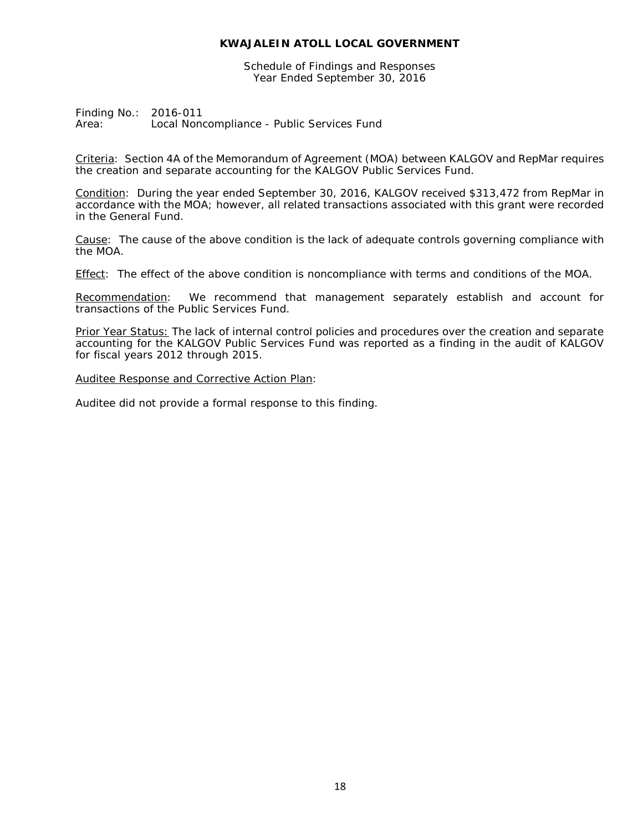Schedule of Findings and Responses Year Ended September 30, 2016

Finding No.: 2016-011<br>Area: Local Non Local Noncompliance - Public Services Fund

Criteria: Section 4A of the Memorandum of Agreement (MOA) between KALGOV and RepMar requires the creation and separate accounting for the KALGOV Public Services Fund.

Condition: During the year ended September 30, 2016, KALGOV received \$313,472 from RepMar in accordance with the MOA; however, all related transactions associated with this grant were recorded in the General Fund.

Cause: The cause of the above condition is the lack of adequate controls governing compliance with the MOA.

Effect: The effect of the above condition is noncompliance with terms and conditions of the MOA.

Recommendation: We recommend that management separately establish and account for transactions of the Public Services Fund.

Prior Year Status: The lack of internal control policies and procedures over the creation and separate accounting for the KALGOV Public Services Fund was reported as a finding in the audit of KALGOV for fiscal years 2012 through 2015.

Auditee Response and Corrective Action Plan: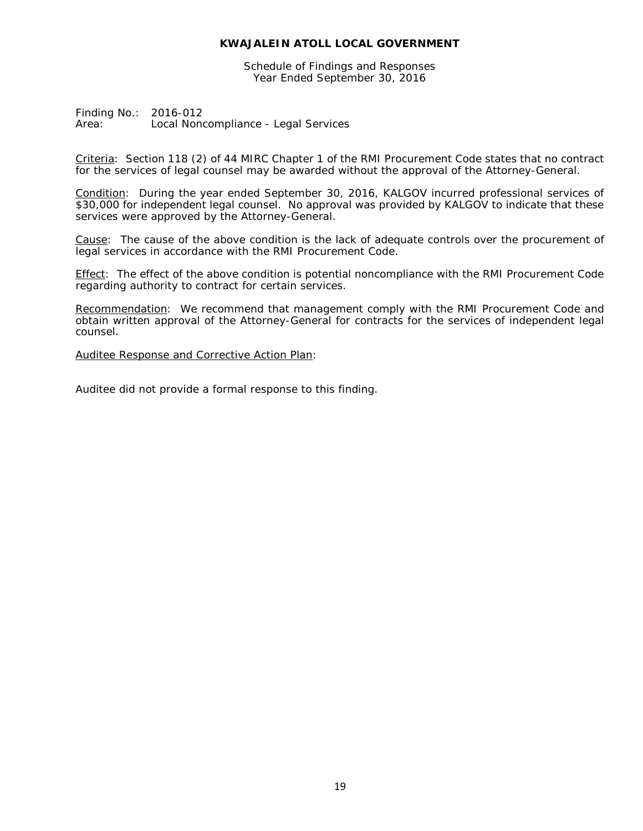Schedule of Findings and Responses Year Ended September 30, 2016

Finding No.: 2016-012 Area: Local Noncompliance - Legal Services

Criteria: Section 118 (2) of 44 MIRC Chapter 1 of the RMI Procurement Code states that no contract for the services of legal counsel may be awarded without the approval of the Attorney-General.

Condition: During the year ended September 30, 2016, KALGOV incurred professional services of \$30,000 for independent legal counsel. No approval was provided by KALGOV to indicate that these services were approved by the Attorney-General.

Cause: The cause of the above condition is the lack of adequate controls over the procurement of legal services in accordance with the RMI Procurement Code.

Effect: The effect of the above condition is potential noncompliance with the RMI Procurement Code regarding authority to contract for certain services.

Recommendation: We recommend that management comply with the RMI Procurement Code and obtain written approval of the Attorney-General for contracts for the services of independent legal counsel.

Auditee Response and Corrective Action Plan: